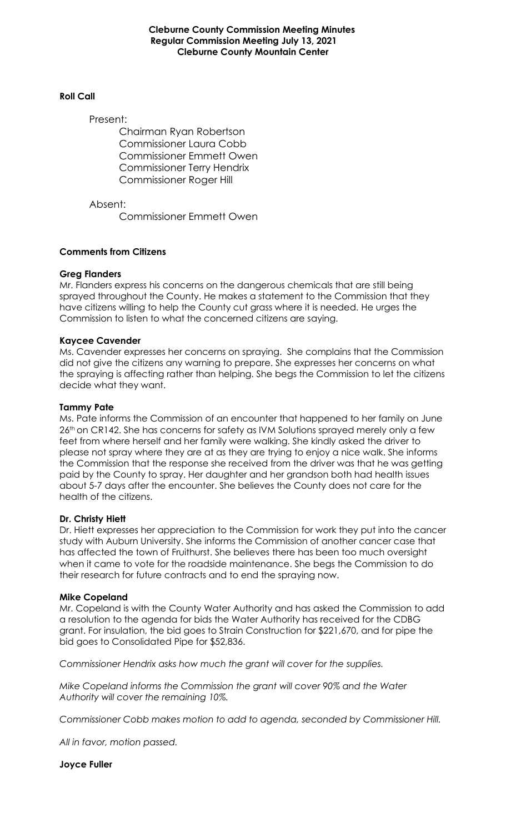#### **Cleburne County Commission Meeting Minutes Regular Commission Meeting July 13, 2021 Cleburne County Mountain Center**

#### **Roll Call**

Present:

Chairman Ryan Robertson Commissioner Laura Cobb Commissioner Emmett Owen Commissioner Terry Hendrix Commissioner Roger Hill

Absent:

Commissioner Emmett Owen

### **Comments from Citizens**

### **Greg Flanders**

Mr. Flanders express his concerns on the dangerous chemicals that are still being sprayed throughout the County. He makes a statement to the Commission that they have citizens willing to help the County cut grass where it is needed. He urges the Commission to listen to what the concerned citizens are saying.

#### **Kaycee Cavender**

Ms. Cavender expresses her concerns on spraying. She complains that the Commission did not give the citizens any warning to prepare. She expresses her concerns on what the spraying is affecting rather than helping. She begs the Commission to let the citizens decide what they want.

### **Tammy Pate**

Ms. Pate informs the Commission of an encounter that happened to her family on June 26<sup>th</sup> on CR142. She has concerns for safety as IVM Solutions sprayed merely only a few feet from where herself and her family were walking. She kindly asked the driver to please not spray where they are at as they are trying to enjoy a nice walk. She informs the Commission that the response she received from the driver was that he was getting paid by the County to spray. Her daughter and her grandson both had health issues about 5-7 days after the encounter. She believes the County does not care for the health of the citizens.

### **Dr. Christy Hiett**

Dr. Hiett expresses her appreciation to the Commission for work they put into the cancer study with Auburn University. She informs the Commission of another cancer case that has affected the town of Fruithurst. She believes there has been too much oversight when it came to vote for the roadside maintenance. She begs the Commission to do their research for future contracts and to end the spraying now.

### **Mike Copeland**

Mr. Copeland is with the County Water Authority and has asked the Commission to add a resolution to the agenda for bids the Water Authority has received for the CDBG grant. For insulation, the bid goes to Strain Construction for \$221,670, and for pipe the bid goes to Consolidated Pipe for \$52,836.

*Commissioner Hendrix asks how much the grant will cover for the supplies.*

*Mike Copeland informs the Commission the grant will cover 90% and the Water Authority will cover the remaining 10%.*

*Commissioner Cobb makes motion to add to agenda, seconded by Commissioner Hill.*

*All in favor, motion passed.*

**Joyce Fuller**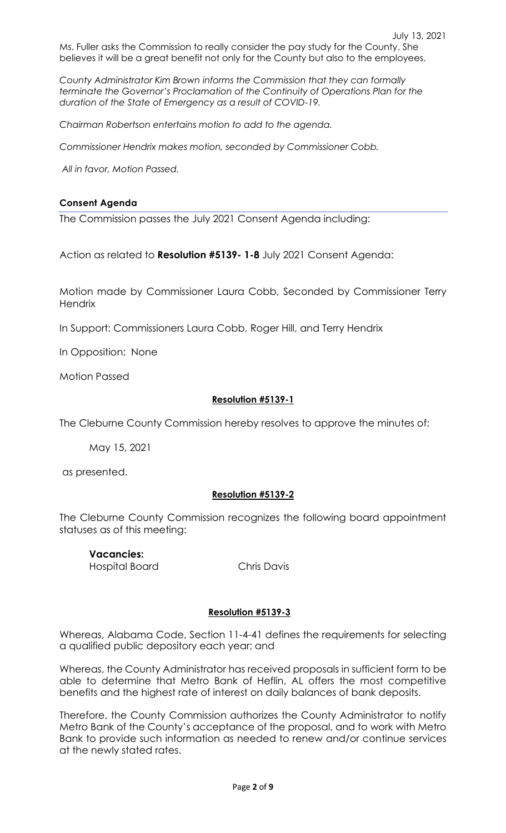Ms. Fuller asks the Commission to really consider the pay study for the County. She believes it will be a great benefit not only for the County but also to the employees.

*County Administrator Kim Brown informs the Commission that they can formally terminate the Governor's Proclamation of the Continuity of Operations Plan for the duration of the State of Emergency as a result of COVID-19.*

*Chairman Robertson entertains motion to add to the agenda.*

*Commissioner Hendrix makes motion, seconded by Commissioner Cobb.*

*All in favor, Motion Passed.*

### **Consent Agenda**

The Commission passes the July 2021 Consent Agenda including:

Action as related to **Resolution #5139- 1-8** July 2021 Consent Agenda:

Motion made by Commissioner Laura Cobb, Seconded by Commissioner Terry **Hendrix** 

In Support: Commissioners Laura Cobb, Roger Hill, and Terry Hendrix

In Opposition: None

Motion Passed

### **Resolution #5139-1**

The Cleburne County Commission hereby resolves to approve the minutes of:

May 15, 2021

as presented.

### **Resolution #5139-2**

The Cleburne County Commission recognizes the following board appointment statuses as of this meeting:

**Vacancies:**  Hospital Board Chris Davis

### **Resolution #5139-3**

Whereas, Alabama Code, Section 11-4-41 defines the requirements for selecting a qualified public depository each year; and

Whereas, the County Administrator has received proposals in sufficient form to be able to determine that Metro Bank of Heflin, AL offers the most competitive benefits and the highest rate of interest on daily balances of bank deposits.

Therefore, the County Commission authorizes the County Administrator to notify Metro Bank of the County's acceptance of the proposal, and to work with Metro Bank to provide such information as needed to renew and/or continue services at the newly stated rates.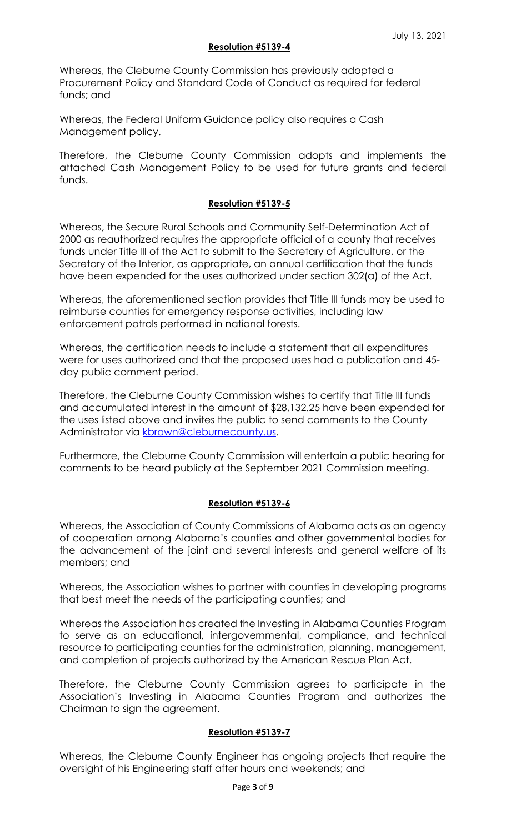### **Resolution #5139-4**

Whereas, the Cleburne County Commission has previously adopted a Procurement Policy and Standard Code of Conduct as required for federal funds; and

Whereas, the Federal Uniform Guidance policy also requires a Cash Management policy.

Therefore, the Cleburne County Commission adopts and implements the attached Cash Management Policy to be used for future grants and federal funds.

# **Resolution #5139-5**

Whereas, the Secure Rural Schools and Community Self-Determination Act of 2000 as reauthorized requires the appropriate official of a county that receives funds under Title III of the Act to submit to the Secretary of Agriculture, or the Secretary of the Interior, as appropriate, an annual certification that the funds have been expended for the uses authorized under section 302(a) of the Act.

Whereas, the aforementioned section provides that Title III funds may be used to reimburse counties for emergency response activities, including law enforcement patrols performed in national forests.

Whereas, the certification needs to include a statement that all expenditures were for uses authorized and that the proposed uses had a publication and 45 day public comment period.

Therefore, the Cleburne County Commission wishes to certify that Title III funds and accumulated interest in the amount of \$28,132.25 have been expended for the uses listed above and invites the public to send comments to the County Administrator via [kbrown@cleburnecounty.us.](mailto:kbrown@cleburnecounty.us)

Furthermore, the Cleburne County Commission will entertain a public hearing for comments to be heard publicly at the September 2021 Commission meeting.

# **Resolution #5139-6**

Whereas, the Association of County Commissions of Alabama acts as an agency of cooperation among Alabama's counties and other governmental bodies for the advancement of the joint and several interests and general welfare of its members; and

Whereas, the Association wishes to partner with counties in developing programs that best meet the needs of the participating counties; and

Whereas the Association has created the Investing in Alabama Counties Program to serve as an educational, intergovernmental, compliance, and technical resource to participating counties for the administration, planning, management, and completion of projects authorized by the American Rescue Plan Act.

Therefore, the Cleburne County Commission agrees to participate in the Association's Investing in Alabama Counties Program and authorizes the Chairman to sign the agreement.

## **Resolution #5139-7**

Whereas, the Cleburne County Engineer has ongoing projects that require the oversight of his Engineering staff after hours and weekends; and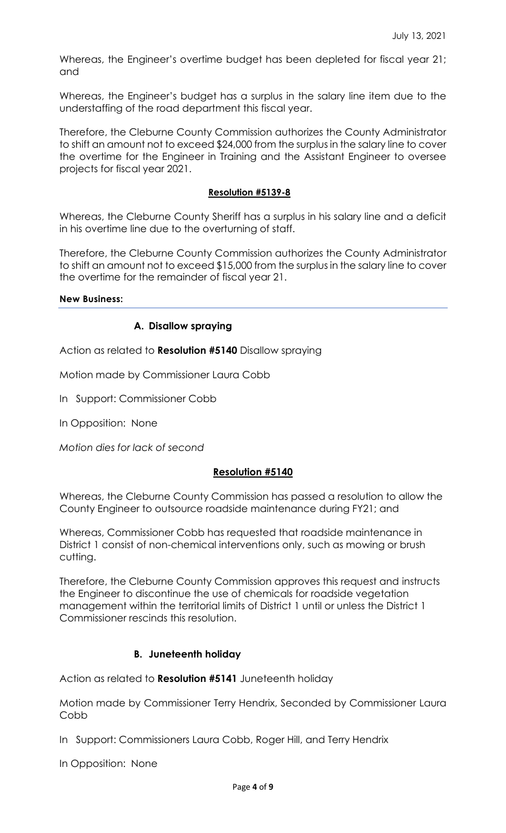Whereas, the Engineer's overtime budget has been depleted for fiscal year 21; and

Whereas, the Engineer's budget has a surplus in the salary line item due to the understaffing of the road department this fiscal year.

Therefore, the Cleburne County Commission authorizes the County Administrator to shift an amount not to exceed \$24,000 from the surplus in the salary line to cover the overtime for the Engineer in Training and the Assistant Engineer to oversee projects for fiscal year 2021.

## **Resolution #5139-8**

Whereas, the Cleburne County Sheriff has a surplus in his salary line and a deficit in his overtime line due to the overturning of staff.

Therefore, the Cleburne County Commission authorizes the County Administrator to shift an amount not to exceed \$15,000 from the surplus in the salary line to cover the overtime for the remainder of fiscal year 21.

### **New Business:**

# **A. Disallow spraying**

Action as related to **Resolution #5140** Disallow spraying

Motion made by Commissioner Laura Cobb

In Support: Commissioner Cobb

In Opposition: None

*Motion dies for lack of second*

## **Resolution #5140**

Whereas, the Cleburne County Commission has passed a resolution to allow the County Engineer to outsource roadside maintenance during FY21; and

Whereas, Commissioner Cobb has requested that roadside maintenance in District 1 consist of non-chemical interventions only, such as mowing or brush cutting.

Therefore, the Cleburne County Commission approves this request and instructs the Engineer to discontinue the use of chemicals for roadside vegetation management within the territorial limits of District 1 until or unless the District 1 Commissioner rescinds this resolution.

## **B. Juneteenth holiday**

Action as related to **Resolution #5141** Juneteenth holiday

Motion made by Commissioner Terry Hendrix, Seconded by Commissioner Laura Cobb

In Support: Commissioners Laura Cobb, Roger Hill, and Terry Hendrix

In Opposition: None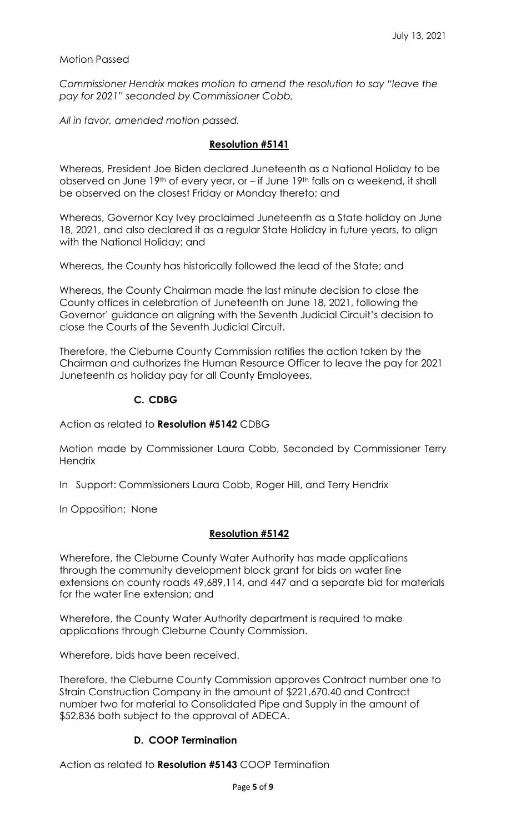## Motion Passed

*Commissioner Hendrix makes motion to amend the resolution to say "leave the pay for 2021" seconded by Commissioner Cobb.*

*All in favor, amended motion passed.*

## **Resolution #5141**

Whereas, President Joe Biden declared Juneteenth as a National Holiday to be observed on June 19<sup>th</sup> of every year, or – if June 19<sup>th</sup> falls on a weekend, it shall be observed on the closest Friday or Monday thereto; and

Whereas, Governor Kay Ivey proclaimed Juneteenth as a State holiday on June 18, 2021, and also declared it as a regular State Holiday in future years, to align with the National Holiday; and

Whereas, the County has historically followed the lead of the State; and

Whereas, the County Chairman made the last minute decision to close the County offices in celebration of Juneteenth on June 18, 2021, following the Governor' guidance an aligning with the Seventh Judicial Circuit's decision to close the Courts of the Seventh Judicial Circuit.

Therefore, the Cleburne County Commission ratifies the action taken by the Chairman and authorizes the Human Resource Officer to leave the pay for 2021 Juneteenth as holiday pay for all County Employees.

## **C. CDBG**

Action as related to **Resolution #5142** CDBG

Motion made by Commissioner Laura Cobb, Seconded by Commissioner Terry **Hendrix** 

In Support: Commissioners Laura Cobb, Roger Hill, and Terry Hendrix

In Opposition: None

## **Resolution #5142**

Wherefore, the Cleburne County Water Authority has made applications through the community development block grant for bids on water line extensions on county roads 49,689,114, and 447 and a separate bid for materials for the water line extension; and

Wherefore, the County Water Authority department is required to make applications through Cleburne County Commission.

Wherefore, bids have been received.

Therefore, the Cleburne County Commission approves Contract number one to Strain Construction Company in the amount of \$221,670.40 and Contract number two for material to Consolidated Pipe and Supply in the amount of \$52,836 both subject to the approval of ADECA.

## **D. COOP Termination**

Action as related to **Resolution #5143** COOP Termination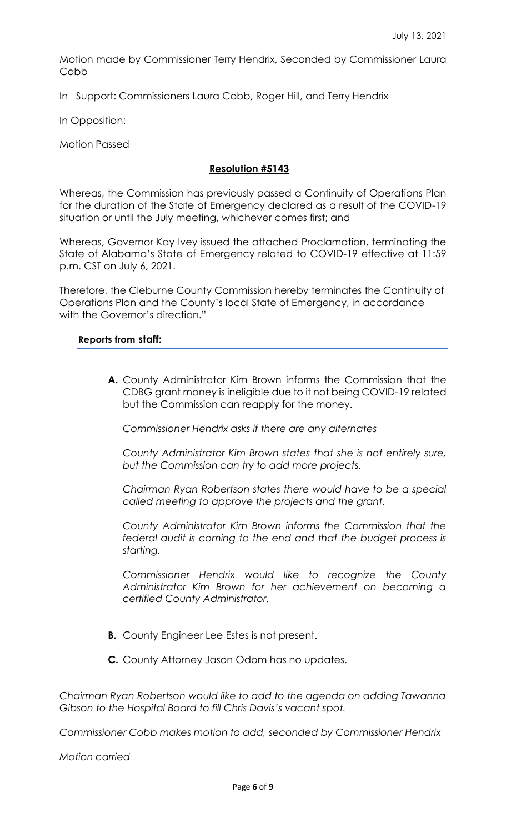Motion made by Commissioner Terry Hendrix, Seconded by Commissioner Laura Cobb

In Support: Commissioners Laura Cobb, Roger Hill, and Terry Hendrix

In Opposition:

Motion Passed

# **Resolution #5143**

Whereas, the Commission has previously passed a Continuity of Operations Plan for the duration of the State of Emergency declared as a result of the COVID-19 situation or until the July meeting, whichever comes first; and

Whereas, Governor Kay Ivey issued the attached Proclamation, terminating the State of Alabama's State of Emergency related to COVID-19 effective at 11:59 p.m. CST on July 6, 2021.

Therefore, the Cleburne County Commission hereby terminates the Continuity of Operations Plan and the County's local State of Emergency, in accordance with the Governor's direction."

### **Reports from staff:**

**A.** County Administrator Kim Brown informs the Commission that the CDBG grant money is ineligible due to it not being COVID-19 related but the Commission can reapply for the money.

*Commissioner Hendrix asks if there are any alternates*

*County Administrator Kim Brown states that she is not entirely sure, but the Commission can try to add more projects.*

*Chairman Ryan Robertson states there would have to be a special called meeting to approve the projects and the grant.*

*County Administrator Kim Brown informs the Commission that the federal audit is coming to the end and that the budget process is starting.*

*Commissioner Hendrix would like to recognize the County Administrator Kim Brown for her achievement on becoming a certified County Administrator.*

- **B.** County Engineer Lee Estes is not present.
- **C.** County Attorney Jason Odom has no updates.

*Chairman Ryan Robertson would like to add to the agenda on adding Tawanna Gibson to the Hospital Board to fill Chris Davis's vacant spot.*

*Commissioner Cobb makes motion to add, seconded by Commissioner Hendrix*

*Motion carried*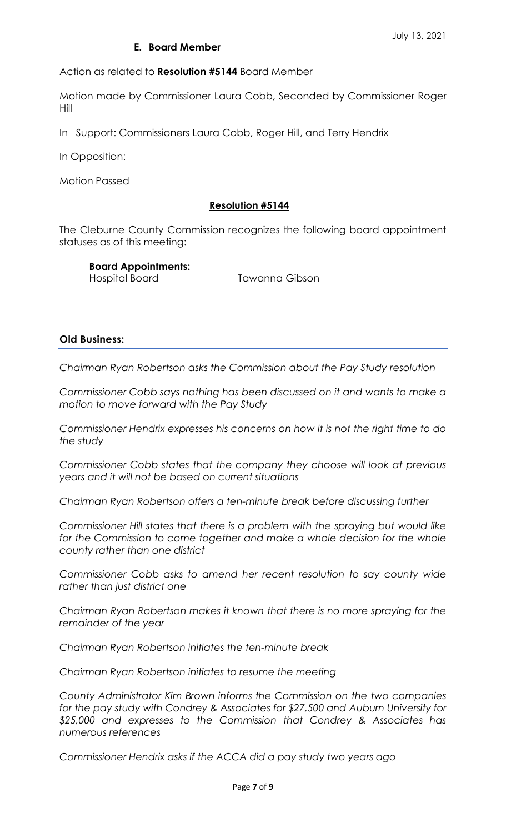# **E. Board Member**

Action as related to **Resolution #5144** Board Member

Motion made by Commissioner Laura Cobb, Seconded by Commissioner Roger Hill

In Support: Commissioners Laura Cobb, Roger Hill, and Terry Hendrix

In Opposition:

Motion Passed

## **Resolution #5144**

The Cleburne County Commission recognizes the following board appointment statuses as of this meeting:

**Board Appointments:** 

Hospital Board Tawanna Gibson

### **Old Business:**

*Chairman Ryan Robertson asks the Commission about the Pay Study resolution*

*Commissioner Cobb says nothing has been discussed on it and wants to make a motion to move forward with the Pay Study*

*Commissioner Hendrix expresses his concerns on how it is not the right time to do the study*

*Commissioner Cobb states that the company they choose will look at previous years and it will not be based on current situations*

*Chairman Ryan Robertson offers a ten-minute break before discussing further*

*Commissioner Hill states that there is a problem with the spraying but would like*  for the Commission to come together and make a whole decision for the whole *county rather than one district*

*Commissioner Cobb asks to amend her recent resolution to say county wide rather than just district one*

*Chairman Ryan Robertson makes it known that there is no more spraying for the remainder of the year*

*Chairman Ryan Robertson initiates the ten-minute break*

*Chairman Ryan Robertson initiates to resume the meeting*

*County Administrator Kim Brown informs the Commission on the two companies for the pay study with Condrey & Associates for \$27,500 and Auburn University for \$25,000 and expresses to the Commission that Condrey & Associates has numerous references*

*Commissioner Hendrix asks if the ACCA did a pay study two years ago*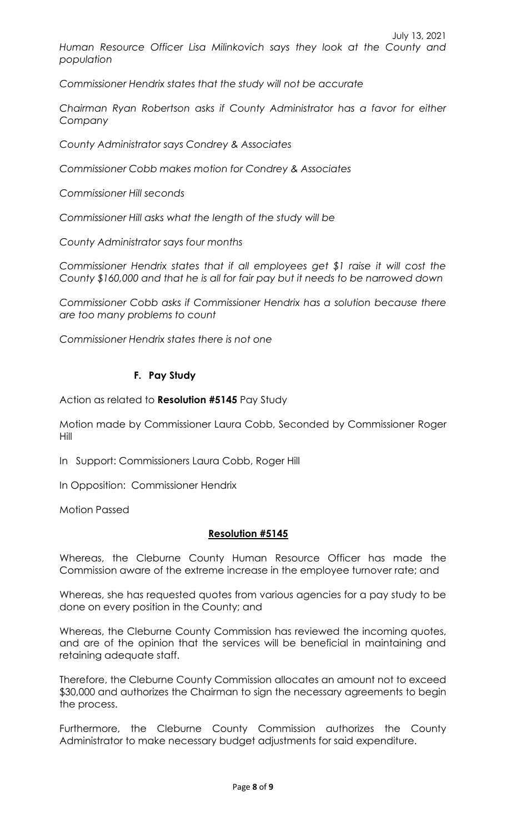*Commissioner Hendrix states that the study will not be accurate*

*Chairman Ryan Robertson asks if County Administrator has a favor for either Company*

*County Administrator says Condrey & Associates*

*Commissioner Cobb makes motion for Condrey & Associates*

*Commissioner Hill seconds*

*Commissioner Hill asks what the length of the study will be*

*County Administrator says four months*

*Commissioner Hendrix states that if all employees get \$1 raise it will cost the County \$160,000 and that he is all for fair pay but it needs to be narrowed down*

*Commissioner Cobb asks if Commissioner Hendrix has a solution because there are too many problems to count*

*Commissioner Hendrix states there is not one*

# **F. Pay Study**

Action as related to **Resolution #5145** Pay Study

Motion made by Commissioner Laura Cobb, Seconded by Commissioner Roger Hill

In Support: Commissioners Laura Cobb, Roger Hill

In Opposition: Commissioner Hendrix

Motion Passed

## **Resolution #5145**

Whereas, the Cleburne County Human Resource Officer has made the Commission aware of the extreme increase in the employee turnover rate; and

Whereas, she has requested quotes from various agencies for a pay study to be done on every position in the County; and

Whereas, the Cleburne County Commission has reviewed the incoming quotes, and are of the opinion that the services will be beneficial in maintaining and retaining adequate staff.

Therefore, the Cleburne County Commission allocates an amount not to exceed \$30,000 and authorizes the Chairman to sign the necessary agreements to begin the process.

Furthermore, the Cleburne County Commission authorizes the County Administrator to make necessary budget adjustments for said expenditure.